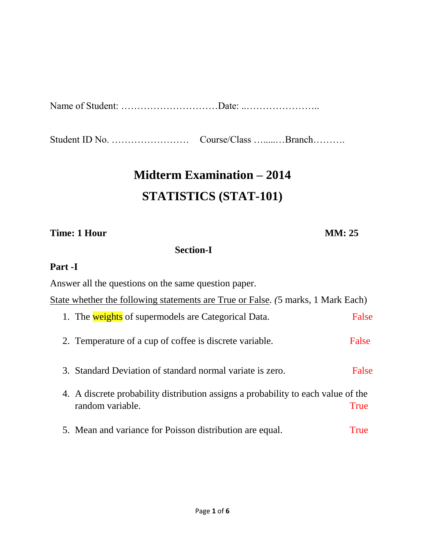|--|--|

Student ID No. …………………… Course/Class ….....…Branch……….

# **Midterm Examination – 2014 STATISTICS (STAT-101)**

#### **Time: 1 Hour MM: 25**

### **Section-I**

## **Part -I**

Answer all the questions on the same question paper*.*

|  |  |  |  |  | State whether the following statements are True or False. (5 marks, 1 Mark Each) |  |
|--|--|--|--|--|----------------------------------------------------------------------------------|--|
|  |  |  |  |  |                                                                                  |  |

- 1. The weights of supermodels are Categorical Data. False 2. Temperature of a cup of coffee is discrete variable. False
- 3. Standard Deviation of standard normal variate is zero. False
- 4. A discrete probability distribution assigns a probability to each value of the random variable. The state of the state of the state of the state of the state of the state of the state of the state of the state of the state of the state of the state of the state of the state of the state of the state
- 5. Mean and variance for Poisson distribution are equal. True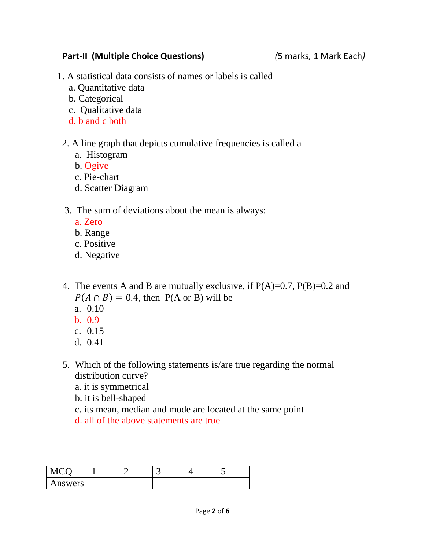#### **Part-II (Multiple Choice Questions)** *(*5 marks*,* 1 Mark Each*)*

- 1. A statistical data consists of names or labels is called
	- a. Quantitative data
	- b. Categorical
	- c. Qualitative data
	- d. b and c both

### 2. A line graph that depicts cumulative frequencies is called a

- a. Histogram
- b. Ogive
- c. Pie-chart
- d. Scatter Diagram

#### 3. The sum of deviations about the mean is always:

- a. Zero
- b. Range
- c. Positive
- d. Negative
- 4. The events A and B are mutually exclusive, if  $P(A)=0.7$ ,  $P(B)=0.2$  and  $P(A \cap B) = 0.4$ , then  $P(A \text{ or } B)$  will be
	- a. 0.10
	- b. 0.9
	- c. 0.15
	- d. 0.41
- 5. Which of the following statements is/are true regarding the normal distribution curve?
	- a. it is symmetrical
	- b. it is bell-shaped
	- c. its mean, median and mode are located at the same point
	- d. all of the above statements are true

| $\sqrt{10}$ |  | $\sim$ . |  |
|-------------|--|----------|--|
| Answers     |  |          |  |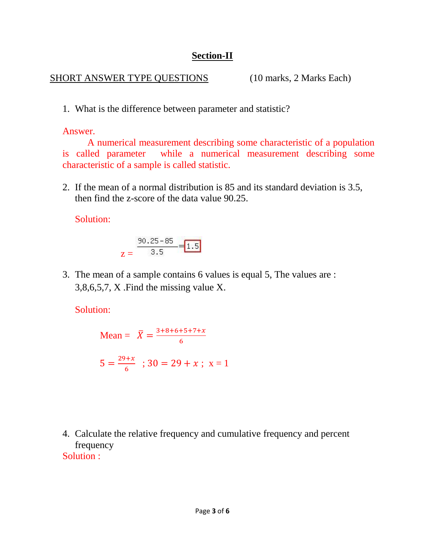### **Section-II**

#### SHORT ANSWER TYPE QUESTIONS (10 marks, 2 Marks Each)

1. What is the difference between parameter and statistic?

Answer.

A numerical measurement describing some characteristic of a population is called parameter while a numerical measurement describing some characteristic of a sample is called statistic.

2. If the mean of a normal distribution is 85 and its standard deviation is 3.5, then find the z-score of the data value 90.25.

Solution:

$$
z = \frac{90.25 - 85}{3.5} = 1.5
$$

3. The mean of a sample contains 6 values is equal 5, The values are : 3,8,6,5,7, X .Find the missing value X.

Solution:

Mean = 
$$
\overline{X}
$$
 =  $\frac{3+8+6+5+7+x}{6}$   
5 =  $\frac{29+x}{6}$ ; 30 = 29 + x; x = 1

4. Calculate the relative frequency and cumulative frequency and percent frequency Solution :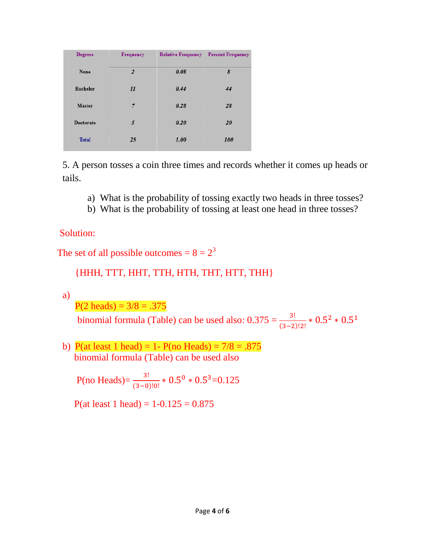| <b>Degrees</b>   | <b>Frequency</b> | <b>Relative Frequency</b> | <b>Percent Frequency</b> |  |  |
|------------------|------------------|---------------------------|--------------------------|--|--|
| None             | $\overline{2}$   | 0.08                      | 8                        |  |  |
| <b>Bachelor</b>  | 11               | 0.44                      | 44                       |  |  |
| <b>Master</b>    | 7                | 0.28                      | 28                       |  |  |
| <b>Doctorate</b> | 5                | 0.20                      | 20                       |  |  |
| <b>Total</b>     | 25               | 1.00                      | 100                      |  |  |

5. A person tosses a coin three times and records whether it comes up heads or tails.

- a) What is the probability of tossing exactly two heads in three tosses?
- b) What is the probability of tossing at least one head in three tosses?

Solution:

The set of all possible outcomes =  $8 = 2^3$ 

## {HHH, TTT, HHT, TTH, HTH, THT, HTT, THH}

a)

 $P(2 \text{ heads}) = 3/8 = .375$ 

binomial formula (Table) can be used also:  $0.375 = \frac{3!}{(3-2)!2!} * 0.5^2 * 0.5^1$ 

b) P(at least 1 head) = 1- P(no Heads) =  $7/8 = .875$ binomial formula (Table) can be used also

P(no Heads)= $\frac{3!}{(3-0)!0!} * 0.5^0 * 0.5^3 = 0.125$ 

P(at least 1 head) =  $1 - 0.125 = 0.875$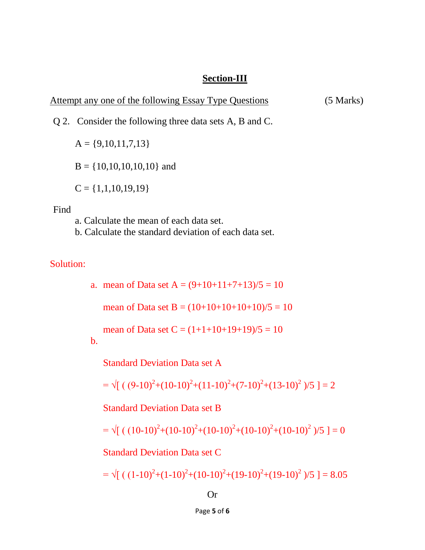#### **Section-III**

Attempt any one of the following Essay Type Questions (5 Marks)

Q 2. Consider the following three data sets A, B and C.

 $A = \{9,10,11,7,13\}$ 

 $B = \{10, 10, 10, 10, 10\}$  and

 $C = \{1,1,10,19,19\}$ 

#### Find

a. Calculate the mean of each data set.

b. Calculate the standard deviation of each data set.

## Solution:

a. mean of Data set  $A = (9+10+11+7+13)/5 = 10$ 

mean of Data set B =  $(10+10+10+10+10)/5 = 10$ 

mean of Data set  $C = (1+1+10+19+19)/5 = 10$ 

#### b.

Standard Deviation Data set A

$$
= \sqrt{[(9-10)^2 + (10-10)^2 + (11-10)^2 + (7-10)^2 + (13-10)^2)} / 5 ] = 2
$$

Standard Deviation Data set B

$$
= \sqrt{[( (10-10)^2 + (10-10)^2 + (10-10)^2 + (10-10)^2 + (10-10)^2 )/5 } ] = 0
$$

Standard Deviation Data set C

$$
= \sqrt{[( (1-10)^2 + (1-10)^2 + (10-10)^2 + (19-10)^2 + (19-10)^2 )/5 ]} = 8.05
$$